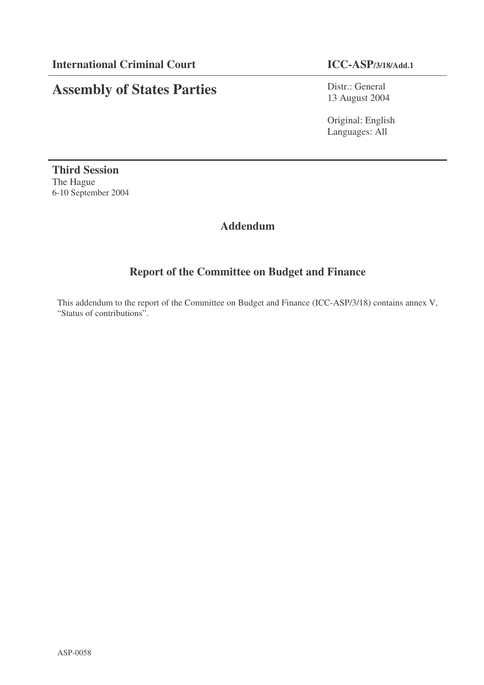# **Assembly of States Parties**

Distr.: General 13 August 2004

Original: English Languages: All

**Third Session** The Hague 6-10 September 2004

## **Addendum**

# **Report of the Committee on Budget and Finance**

This addendum to the report of the Committee on Budget and Finance (ICC-ASP/3/18) contains annex V, "Status of contributions".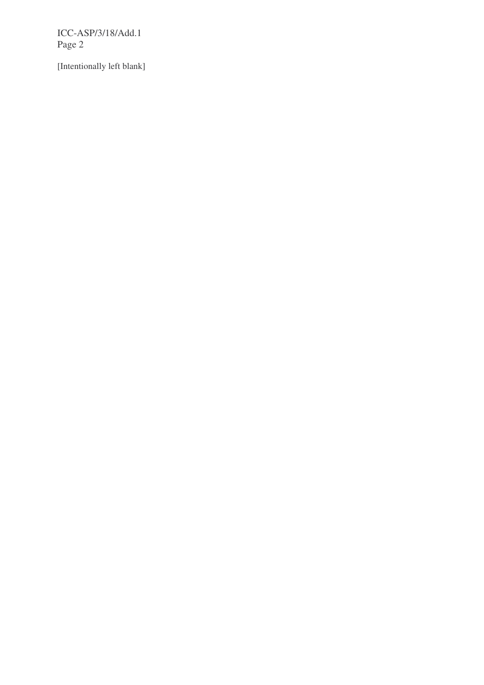ICC-ASP/3/18/Add.1 Page 2

[Intentionally left blank]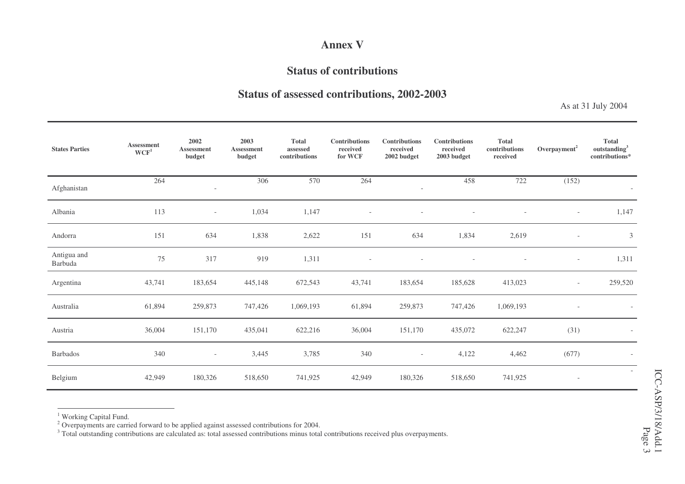#### **Annex V**

#### **Status of contributions**

### **Status of assessed contributions, 2002-2003**

As at 31 July 2004

| <b>States Parties</b>  | Assessment<br>$\mathbf{W}\mathbf{C}\mathbf{F}^1$ | 2002<br><b>Assessment</b><br>budget | 2003<br><b>Assessment</b><br>budget | <b>Total</b><br>assessed<br>contributions | Contributions<br>received<br>for WCF | <b>Contributions</b><br>received<br>2002 budget | <b>Contributions</b><br>received<br>2003 budget | <b>Total</b><br>contributions<br>received | Overpayment <sup>2</sup> | Total<br>outstanding <sup>3</sup><br>contributions* |
|------------------------|--------------------------------------------------|-------------------------------------|-------------------------------------|-------------------------------------------|--------------------------------------|-------------------------------------------------|-------------------------------------------------|-------------------------------------------|--------------------------|-----------------------------------------------------|
| Afghanistan            | 264                                              |                                     | 306                                 | 570                                       | 264                                  |                                                 | 458                                             | 722                                       | (152)                    |                                                     |
| Albania                | 113                                              | $\overline{\phantom{a}}$            | 1,034                               | 1,147                                     |                                      |                                                 |                                                 |                                           | $\overline{\phantom{a}}$ | 1,147                                               |
| Andorra                | 151                                              | 634                                 | 1,838                               | 2,622                                     | 151                                  | 634                                             | 1,834                                           | 2,619                                     | $\overline{\phantom{a}}$ | $\mathfrak z$                                       |
| Antigua and<br>Barbuda | 75                                               | 317                                 | 919                                 | 1,311                                     |                                      |                                                 | $\overline{a}$                                  | $\overline{\phantom{a}}$                  | $\overline{\phantom{a}}$ | 1,311                                               |
| Argentina              | 43,741                                           | 183,654                             | 445,148                             | 672,543                                   | 43,741                               | 183,654                                         | 185,628                                         | 413,023                                   | $\overline{\phantom{a}}$ | 259,520                                             |
| Australia              | 61,894                                           | 259,873                             | 747,426                             | 1,069,193                                 | 61,894                               | 259,873                                         | 747,426                                         | 1,069,193                                 | $\overline{a}$           | $\overline{\phantom{a}}$                            |
| Austria                | 36,004                                           | 151,170                             | 435,041                             | 622,216                                   | 36,004                               | 151,170                                         | 435,072                                         | 622,247                                   | (31)                     | $\overline{\phantom{a}}$                            |
| <b>Barbados</b>        | 340                                              | $\overline{\phantom{a}}$            | 3,445                               | 3,785                                     | 340                                  | $\overline{\phantom{a}}$                        | 4,122                                           | 4,462                                     | (677)                    | $\overline{\phantom{a}}$                            |
| Belgium                | 42,949                                           | 180,326                             | 518,650                             | 741,925                                   | 42,949                               | 180,326                                         | 518,650                                         | 741,925                                   |                          |                                                     |

<sup>&</sup>lt;sup>1</sup> Working Capital Fund.<br><sup>2</sup> Overpayments are carried forward to be applied against assessed contributions for 2004.<br><sup>3</sup> Total outstanding contributions are calculated as: total assessed contributions minus total contribu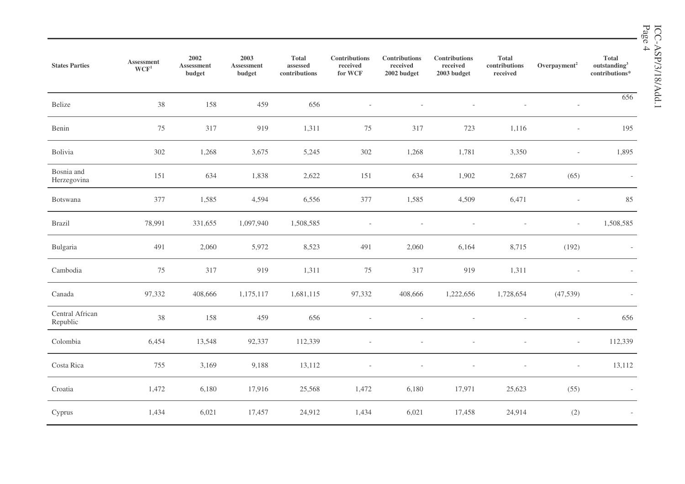ICC-ASP/3/18/Add.1 Page  $\rightarrow$ 

| <b>States Parties</b>       | Assessment<br>WCF <sup>1</sup> | 2002<br><b>Assessment</b><br>budget | 2003<br><b>Assessment</b><br>budget | <b>Total</b><br>assessed<br>contributions | Contributions<br>received<br>for WCF | Contributions<br>received<br>2002 budget | Contributions<br>received<br>2003 budget | <b>Total</b><br>$\mbox{contributions}$<br>received | Overpayment <sup>2</sup> | Total<br>outstanding $3$<br>$contributions*$ |
|-----------------------------|--------------------------------|-------------------------------------|-------------------------------------|-------------------------------------------|--------------------------------------|------------------------------------------|------------------------------------------|----------------------------------------------------|--------------------------|----------------------------------------------|
| Belize                      | 38                             | 158                                 | 459                                 | 656                                       |                                      | $\overline{a}$                           | $\overline{a}$                           |                                                    |                          | 656                                          |
| Benin                       | 75                             | 317                                 | 919                                 | 1,311                                     | 75                                   | 317                                      | 723                                      | 1,116                                              |                          | 195                                          |
| Bolivia                     | 302                            | 1,268                               | 3,675                               | 5,245                                     | 302                                  | 1,268                                    | 1,781                                    | 3,350                                              | $\sim$                   | 1,895                                        |
| Bosnia and<br>Herzegovina   | 151                            | 634                                 | 1,838                               | 2,622                                     | 151                                  | 634                                      | 1,902                                    | 2,687                                              | (65)                     |                                              |
| Botswana                    | 377                            | 1,585                               | 4,594                               | 6,556                                     | 377                                  | 1,585                                    | 4,509                                    | 6,471                                              |                          | 85                                           |
| <b>Brazil</b>               | 78,991                         | 331,655                             | 1,097,940                           | 1,508,585                                 | $\overline{\phantom{a}}$             | $\overline{a}$                           | $\overline{\phantom{a}}$                 | $\overline{\phantom{a}}$                           | $\overline{\phantom{a}}$ | 1,508,585                                    |
| Bulgaria                    | 491                            | 2,060                               | 5,972                               | 8,523                                     | 491                                  | 2,060                                    | 6,164                                    | 8,715                                              | (192)                    |                                              |
| Cambodia                    | 75                             | 317                                 | 919                                 | 1,311                                     | 75                                   | 317                                      | 919                                      | 1,311                                              |                          |                                              |
| Canada                      | 97,332                         | 408,666                             | 1,175,117                           | 1,681,115                                 | 97,332                               | 408,666                                  | 1,222,656                                | 1,728,654                                          | (47,539)                 |                                              |
| Central African<br>Republic | 38                             | 158                                 | 459                                 | 656                                       |                                      |                                          |                                          |                                                    |                          | 656                                          |
| Colombia                    | 6,454                          | 13,548                              | 92,337                              | 112,339                                   |                                      |                                          |                                          |                                                    | $\sim$                   | 112,339                                      |
| Costa Rica                  | 755                            | 3,169                               | 9,188                               | 13,112                                    | $\overline{a}$                       | $\overline{a}$                           | $\overline{a}$                           | $\overline{a}$                                     | $\sim$                   | 13,112                                       |
| Croatia                     | 1,472                          | 6,180                               | 17,916                              | 25,568                                    | 1,472                                | 6,180                                    | 17,971                                   | 25,623                                             | (55)                     |                                              |
| Cyprus                      | 1,434                          | 6,021                               | 17,457                              | 24,912                                    | 1,434                                | 6,021                                    | 17,458                                   | 24,914                                             | (2)                      |                                              |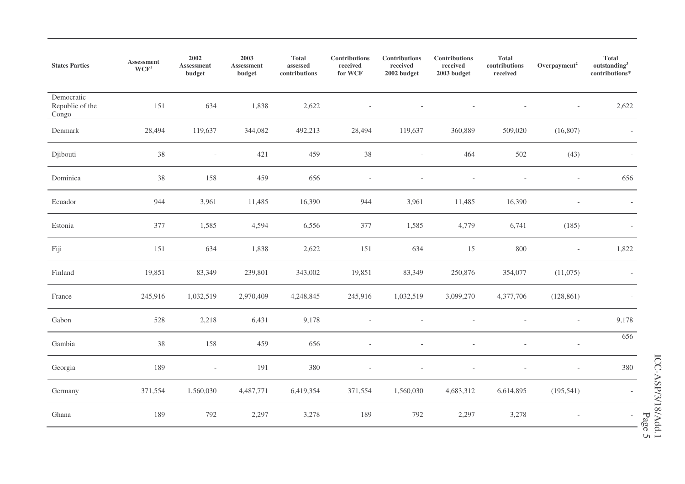| <b>States Parties</b>                  | Assessment<br>WCF <sup>1</sup> | 2002<br><b>Assessment</b><br>budget | 2003<br><b>Assessment</b><br>budget | <b>Total</b><br>assessed<br>contributions | Contributions<br>received<br>for WCF | <b>Contributions</b><br>received<br>2002 budget | <b>Contributions</b><br>received<br>2003 budget | <b>Total</b><br>contributions<br>received | Overpayment <sup>2</sup> | <b>Total</b><br>outstanding $3$<br>contributions* |
|----------------------------------------|--------------------------------|-------------------------------------|-------------------------------------|-------------------------------------------|--------------------------------------|-------------------------------------------------|-------------------------------------------------|-------------------------------------------|--------------------------|---------------------------------------------------|
| Democratic<br>Republic of the<br>Congo | 151                            | 634                                 | 1,838                               | 2,622                                     |                                      |                                                 |                                                 |                                           |                          | 2,622                                             |
| Denmark                                | 28,494                         | 119,637                             | 344,082                             | 492,213                                   | 28,494                               | 119,637                                         | 360,889                                         | 509,020                                   | (16, 807)                |                                                   |
| Djibouti                               | 38                             | $\overline{\phantom{a}}$            | 421                                 | 459                                       | 38                                   | $\overline{a}$                                  | 464                                             | 502                                       | (43)                     |                                                   |
| Dominica                               | 38                             | 158                                 | 459                                 | 656                                       |                                      |                                                 |                                                 |                                           |                          | 656                                               |
| Ecuador                                | 944                            | 3,961                               | 11,485                              | 16,390                                    | 944                                  | 3,961                                           | 11,485                                          | 16,390                                    |                          |                                                   |
| Estonia                                | 377                            | 1,585                               | 4,594                               | 6,556                                     | 377                                  | 1,585                                           | 4,779                                           | 6,741                                     | (185)                    |                                                   |
| Fiji                                   | 151                            | 634                                 | 1,838                               | 2,622                                     | 151                                  | 634                                             | $15\,$                                          | 800                                       | $\overline{\phantom{a}}$ | 1,822                                             |
| Finland                                | 19,851                         | 83,349                              | 239,801                             | 343,002                                   | 19,851                               | 83,349                                          | 250,876                                         | 354,077                                   | (11,075)                 |                                                   |
| France                                 | 245,916                        | 1,032,519                           | 2,970,409                           | 4,248,845                                 | 245,916                              | 1,032,519                                       | 3,099,270                                       | 4,377,706                                 | (128, 861)               |                                                   |
| Gabon                                  | 528                            | 2,218                               | 6,431                               | 9,178                                     |                                      |                                                 |                                                 |                                           |                          | 9,178                                             |
| Gambia                                 | $38\,$                         | 158                                 | 459                                 | 656                                       |                                      |                                                 |                                                 |                                           | $\overline{\phantom{a}}$ | 656                                               |
| Georgia                                | 189                            | $\overline{\phantom{a}}$            | 191                                 | 380                                       |                                      |                                                 |                                                 |                                           |                          | 380                                               |
| Germany                                | 371,554                        | 1,560,030                           | 4,487,771                           | 6,419,354                                 | 371,554                              | 1,560,030                                       | 4,683,312                                       | 6,614,895                                 | (195, 541)               |                                                   |
| Ghana                                  | 189                            | 792                                 | 2,297                               | 3,278                                     | 189                                  | 792                                             | 2,297                                           | 3,278                                     |                          |                                                   |

S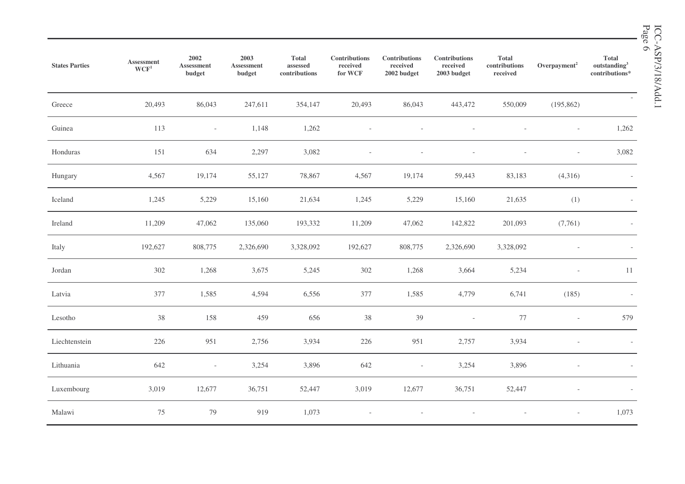**States** Parties Assessment  $^{2002}$   $^{2003}$  Total Contributions Contributions Contributions Total Total Total Total<br>Budget budget budget contributions for WCF 2002 budget 2003 budget cecived received received contributions tor<br>CF<sup>1</sup> budg Greece 20,493 86,043 247,611 354,147 20,493 86,043 443,472 550,009 (195,862) Guinea 1133 - 1,148 1,262 - - - - - - - - 1,262 Honduras 1511 634 2,297 3,082 - - - - - - - - - - 3,082 Hungary 4,567 19,174 55,127 78,867 4,567 19,174 59,443 83,183 (4,316) - Icelandd 1,245 5,229 15,160 21,634 1,245 5,229 15,160 21,635 (1) -Ireland 11,209 47,062 135,060 193,332 11,209 47,062 142,822 201,093 (7,761) - Italy 192,627 808,775 2,326,690 3,328,092 192,627 808,775 2,326,690 3,328,092 - - Jordann 302 1,268 3,675 5,245 302 1,268 3,564 5,234 - 11 Latvia 377 1,585 4,594 6,556 377 1,585 4,779 6,741 (185) - Lesotho 38 158 459 656 38 39 - 77 - 579 Liechtenstein 226 951 2,756 3,934 226 951 2,757 3,934 - - Lithuania 6422 - 3,254 3,896 642 - 3,254 3,896 - - -Luxembourg 3,019 12,677 36,751 52,447 3,019 12,677 36,751 52,447 - -

ICC-ASP/3/18/Add.1 Page  $\circ$ 

5 79 919 1,073 - - - - - - - - 1,073

Malawi

75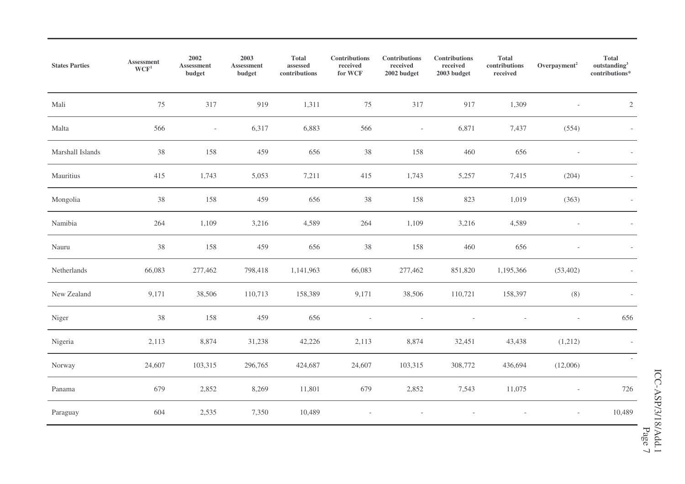| <b>States Parties</b> | <b>Assessment</b><br>$\mathbf{W}\mathbf{C}\mathbf{F}^1$ | 2002<br><b>Assessment</b><br>budget | 2003<br><b>Assessment</b><br>budget | <b>Total</b><br>assessed<br>contributions | Contributions<br>received<br>for WCF | <b>Contributions</b><br>received<br>2002 budget | Contributions<br>received<br>2003 budget | <b>Total</b><br>contributions<br>received | Overpayment <sup>2</sup> | <b>Total</b><br>outstanding <sup>3</sup><br>contributions* |
|-----------------------|---------------------------------------------------------|-------------------------------------|-------------------------------------|-------------------------------------------|--------------------------------------|-------------------------------------------------|------------------------------------------|-------------------------------------------|--------------------------|------------------------------------------------------------|
| Mali                  | 75                                                      | 317                                 | 919                                 | 1,311                                     | 75                                   | 317                                             | 917                                      | 1,309                                     |                          | $\overline{2}$                                             |
| Malta                 | 566                                                     | $\overline{\phantom{a}}$            | 6,317                               | 6,883                                     | 566                                  | ÷,                                              | 6,871                                    | 7,437                                     | (554)                    |                                                            |
| Marshall Islands      | $38\,$                                                  | 158                                 | 459                                 | 656                                       | 38                                   | 158                                             | 460                                      | 656                                       |                          |                                                            |
| Mauritius             | 415                                                     | 1,743                               | 5,053                               | 7,211                                     | 415                                  | 1,743                                           | 5,257                                    | 7,415                                     | (204)                    |                                                            |
| Mongolia              | $38\,$                                                  | 158                                 | 459                                 | 656                                       | 38                                   | 158                                             | 823                                      | 1,019                                     | (363)                    |                                                            |
| Namibia               | 264                                                     | 1,109                               | 3,216                               | 4,589                                     | 264                                  | 1,109                                           | 3,216                                    | 4,589                                     |                          |                                                            |
| Nauru                 | $38\,$                                                  | 158                                 | 459                                 | 656                                       | $38\,$                               | 158                                             | 460                                      | 656                                       |                          |                                                            |
| Netherlands           | 66,083                                                  | 277,462                             | 798,418                             | 1,141,963                                 | 66,083                               | 277,462                                         | 851,820                                  | 1,195,366                                 | (53, 402)                |                                                            |
| New Zealand           | 9,171                                                   | 38,506                              | 110,713                             | 158,389                                   | 9,171                                | 38,506                                          | 110,721                                  | 158,397                                   | (8)                      |                                                            |
| Niger                 | $38\,$                                                  | 158                                 | 459                                 | 656                                       |                                      |                                                 |                                          |                                           |                          | 656                                                        |
| Nigeria               | 2,113                                                   | 8,874                               | 31,238                              | 42,226                                    | 2,113                                | 8,874                                           | 32,451                                   | 43,438                                    | (1,212)                  |                                                            |
| Norway                | 24,607                                                  | 103,315                             | 296,765                             | 424,687                                   | 24,607                               | 103,315                                         | 308,772                                  | 436,694                                   | (12,006)                 | $\overline{\phantom{a}}$                                   |
| Panama                | 679                                                     | 2,852                               | 8,269                               | 11,801                                    | 679                                  | 2,852                                           | 7,543                                    | 11,075                                    |                          | 726                                                        |
| Paraguay              | 604                                                     | 2,535                               | 7,350                               | 10,489                                    |                                      |                                                 |                                          |                                           | $\overline{\phantom{a}}$ | 10,489                                                     |

 $\overline{\phantom{0}}$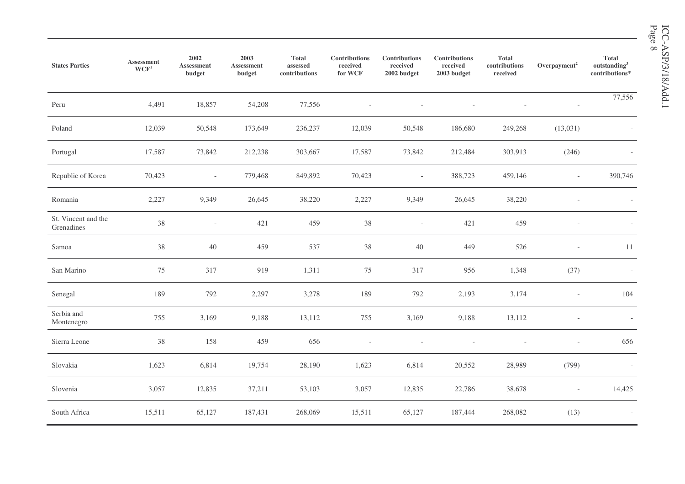ICC-ASP/3/18/Add.1 Page  $\infty$ 

| <b>States Parties</b>             | Assessment<br>$\mathbf{WCF}^1$ | 2002<br>Assessment<br>budget | 2003<br>Assessment<br>budget | <b>Total</b><br>assessed<br>contributions | Contributions<br>received<br>for WCF | Contributions<br>received<br>2002 budget | Contributions<br>received<br>2003 budget | <b>Total</b><br>contributions<br>received | Overpayment <sup>2</sup> | <b>Total</b><br>outstanding <sup>3</sup><br>$contributions*$ |
|-----------------------------------|--------------------------------|------------------------------|------------------------------|-------------------------------------------|--------------------------------------|------------------------------------------|------------------------------------------|-------------------------------------------|--------------------------|--------------------------------------------------------------|
| Peru                              | 4,491                          | 18,857                       | 54,208                       | 77,556                                    |                                      | $\overline{a}$                           |                                          |                                           |                          | 77,556                                                       |
| Poland                            | 12,039                         | 50,548                       | 173,649                      | 236,237                                   | 12,039                               | 50,548                                   | 186,680                                  | 249,268                                   | (13,031)                 |                                                              |
| Portugal                          | 17,587                         | 73,842                       | 212,238                      | 303,667                                   | 17,587                               | 73,842                                   | 212,484                                  | 303,913                                   | (246)                    |                                                              |
| Republic of Korea                 | 70,423                         | $\overline{\phantom{a}}$     | 779,468                      | 849,892                                   | 70,423                               | $\overline{\phantom{a}}$                 | 388,723                                  | 459,146                                   | $\qquad \qquad -$        | 390,746                                                      |
| Romania                           | 2,227                          | 9,349                        | 26,645                       | 38,220                                    | 2,227                                | 9,349                                    | 26,645                                   | 38,220                                    |                          |                                                              |
| St. Vincent and the<br>Grenadines | 38                             | $\bar{a}$                    | 421                          | 459                                       | 38                                   | $\overline{\phantom{a}}$                 | 421                                      | 459                                       |                          |                                                              |
| Samoa                             | 38                             | $40\,$                       | 459                          | 537                                       | 38                                   | 40                                       | 449                                      | 526                                       | $\overline{a}$           | 11                                                           |
| San Marino                        | 75                             | 317                          | 919                          | 1,311                                     | 75                                   | 317                                      | 956                                      | 1,348                                     | (37)                     |                                                              |
| Senegal                           | 189                            | 792                          | 2,297                        | 3,278                                     | 189                                  | 792                                      | 2,193                                    | 3,174                                     | $\overline{\phantom{a}}$ | 104                                                          |
| Serbia and<br>Montenegro          | 755                            | 3,169                        | 9,188                        | 13,112                                    | 755                                  | 3,169                                    | 9,188                                    | 13,112                                    |                          |                                                              |
| Sierra Leone                      | 38                             | 158                          | 459                          | 656                                       |                                      |                                          |                                          |                                           | $\overline{a}$           | 656                                                          |
| Slovakia                          | 1,623                          | 6,814                        | 19,754                       | 28,190                                    | 1,623                                | 6,814                                    | 20,552                                   | 28,989                                    | (799)                    |                                                              |
| Slovenia                          | 3,057                          | 12,835                       | 37,211                       | 53,103                                    | 3,057                                | 12,835                                   | 22,786                                   | 38,678                                    | $\overline{\phantom{a}}$ | 14,425                                                       |
| South Africa                      | 15,511                         | 65,127                       | 187,431                      | 268,069                                   | 15,511                               | 65,127                                   | 187,444                                  | 268,082                                   | (13)                     |                                                              |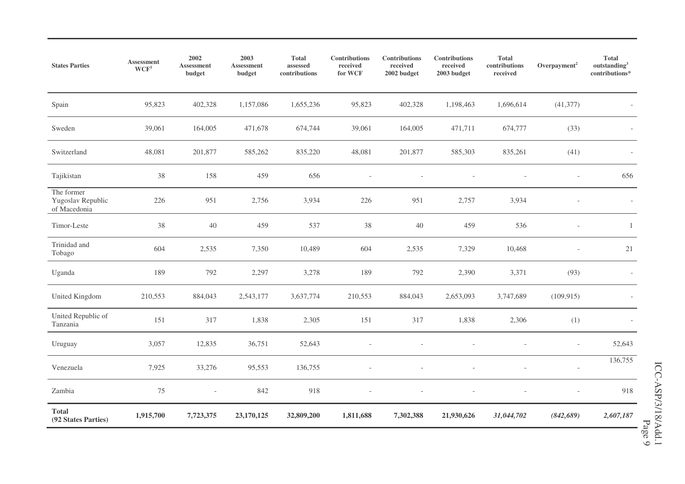| <b>States Parties</b>                           | <b>Assessment</b><br>WCF <sup>1</sup> | 2002<br><b>Assessment</b><br>budget | 2003<br><b>Assessment</b><br>budget | <b>Total</b><br>assessed<br>contributions | <b>Contributions</b><br>received<br>for WCF | <b>Contributions</b><br>received<br>2002 budget | <b>Contributions</b><br>received<br>2003 budget | <b>Total</b><br>contributions<br>received | Overpayment <sup>2</sup> | <b>Total</b><br>outstanding $3$<br>contributions* |
|-------------------------------------------------|---------------------------------------|-------------------------------------|-------------------------------------|-------------------------------------------|---------------------------------------------|-------------------------------------------------|-------------------------------------------------|-------------------------------------------|--------------------------|---------------------------------------------------|
| Spain                                           | 95,823                                | 402,328                             | 1,157,086                           | 1,655,236                                 | 95,823                                      | 402,328                                         | 1,198,463                                       | 1,696,614                                 | (41, 377)                |                                                   |
| Sweden                                          | 39,061                                | 164,005                             | 471,678                             | 674,744                                   | 39,061                                      | 164,005                                         | 471,711                                         | 674,777                                   | (33)                     |                                                   |
| Switzerland                                     | 48,081                                | 201,877                             | 585,262                             | 835,220                                   | 48,081                                      | 201,877                                         | 585,303                                         | 835,261                                   | (41)                     |                                                   |
| Tajikistan                                      | 38                                    | 158                                 | 459                                 | 656                                       |                                             |                                                 |                                                 |                                           |                          | 656                                               |
| The former<br>Yugoslav Republic<br>of Macedonia | 226                                   | 951                                 | 2,756                               | 3,934                                     | 226                                         | 951                                             | 2,757                                           | 3,934                                     |                          |                                                   |
| Timor-Leste                                     | 38                                    | $40\,$                              | 459                                 | 537                                       | 38                                          | 40                                              | 459                                             | 536                                       |                          | -1                                                |
| Trinidad and<br>Tobago                          | 604                                   | 2,535                               | 7,350                               | 10,489                                    | 604                                         | 2,535                                           | 7,329                                           | 10,468                                    |                          | 21                                                |
| Uganda                                          | 189                                   | 792                                 | 2,297                               | 3,278                                     | 189                                         | 792                                             | 2,390                                           | 3,371                                     | (93)                     |                                                   |
| United Kingdom                                  | 210,553                               | 884,043                             | 2,543,177                           | 3,637,774                                 | 210,553                                     | 884,043                                         | 2,653,093                                       | 3,747,689                                 | (109, 915)               |                                                   |
| United Republic of<br>Tanzania                  | 151                                   | 317                                 | 1,838                               | 2,305                                     | 151                                         | 317                                             | 1,838                                           | 2,306                                     | (1)                      |                                                   |
| Uruguay                                         | 3,057                                 | 12,835                              | 36,751                              | 52,643                                    |                                             |                                                 |                                                 |                                           |                          | 52,643                                            |
| Venezuela                                       | 7,925                                 | 33,276                              | 95,553                              | 136,755                                   |                                             |                                                 |                                                 |                                           |                          | 136,755                                           |
| Zambia                                          | $75\,$                                | $\overline{\phantom{a}}$            | 842                                 | 918                                       |                                             |                                                 |                                                 |                                           |                          | 918                                               |
| <b>Total</b><br>(92 States Parties)             | 1,915,700                             | 7,723,375                           | 23,170,125                          | 32,809,200                                | 1,811,688                                   | 7,302,388                                       | 21,930,626                                      | 31,044,702                                | (842, 689)               | 2,607,187                                         |

 $\circ$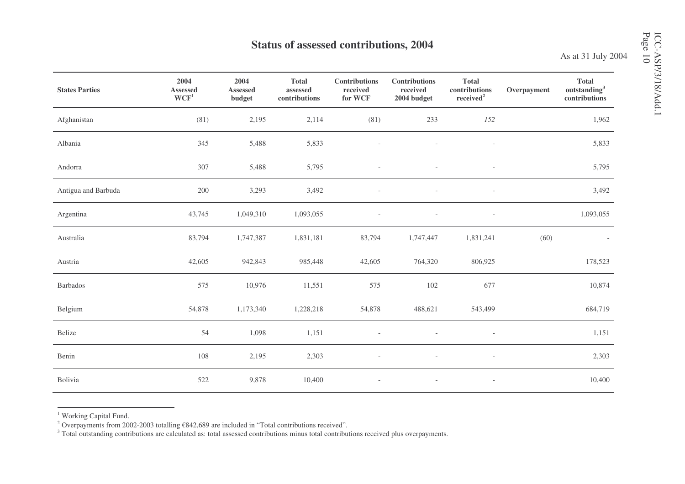# **Status of assessed contributions, 2004**

| <b>States Parties</b> | 2004<br><b>Assessed</b><br>WCF <sup>1</sup> | 2004<br><b>Assessed</b><br>budget | <b>Total</b><br>assessed<br>contributions | <b>Contributions</b><br>received<br>for WCF | <b>Contributions</b><br>received<br>2004 budget | <b>Total</b><br>contributions<br>received <sup>2</sup> | Overpayment | <b>Total</b><br>outstanding <sup>3</sup><br>contributions |
|-----------------------|---------------------------------------------|-----------------------------------|-------------------------------------------|---------------------------------------------|-------------------------------------------------|--------------------------------------------------------|-------------|-----------------------------------------------------------|
| Afghanistan           | (81)                                        | 2,195                             | 2,114                                     | (81)                                        | 233                                             | 152                                                    |             | 1,962                                                     |
| Albania               | 345                                         | 5,488                             | 5,833                                     | $\overline{\phantom{a}}$                    | $\overline{a}$                                  | $\overline{\phantom{a}}$                               |             | 5,833                                                     |
| Andorra               | 307                                         | 5,488                             | 5,795                                     |                                             |                                                 |                                                        |             | 5,795                                                     |
| Antigua and Barbuda   | 200                                         | 3,293                             | 3,492                                     |                                             |                                                 |                                                        |             | 3,492                                                     |
| Argentina             | 43,745                                      | 1,049,310                         | 1,093,055                                 | $\overline{\phantom{a}}$                    | $\overline{\phantom{a}}$                        | $\overline{\phantom{a}}$                               |             | 1,093,055                                                 |
| Australia             | 83,794                                      | 1,747,387                         | 1,831,181                                 | 83,794                                      | 1,747,447                                       | 1,831,241                                              | (60)        |                                                           |
| Austria               | 42,605                                      | 942,843                           | 985,448                                   | 42,605                                      | 764,320                                         | 806,925                                                |             | 178,523                                                   |
| <b>Barbados</b>       | 575                                         | 10,976                            | 11,551                                    | 575                                         | 102                                             | 677                                                    |             | 10,874                                                    |
| Belgium               | 54,878                                      | 1,173,340                         | 1,228,218                                 | 54,878                                      | 488,621                                         | 543,499                                                |             | 684,719                                                   |
| Belize                | 54                                          | 1,098                             | 1,151                                     | $\overline{\phantom{a}}$                    |                                                 | $\overline{\phantom{a}}$                               |             | 1,151                                                     |
| Benin                 | $108\,$                                     | 2,195                             | 2,303                                     |                                             |                                                 | $\overline{\phantom{a}}$                               |             | 2,303                                                     |
| Bolivia               | 522                                         | 9,878                             | 10,400                                    |                                             | $\overline{a}$                                  | $\overline{\phantom{a}}$                               |             | 10,400                                                    |

<sup>&</sup>lt;sup>1</sup> Working Capital Fund.

 $^2$  Overpayments from 2002-2003 totalling €842,689 are included in "Total contributions received".<br><sup>3</sup> Total outstanding contributions are calculated as: total assessed contributions minus total contributions received pl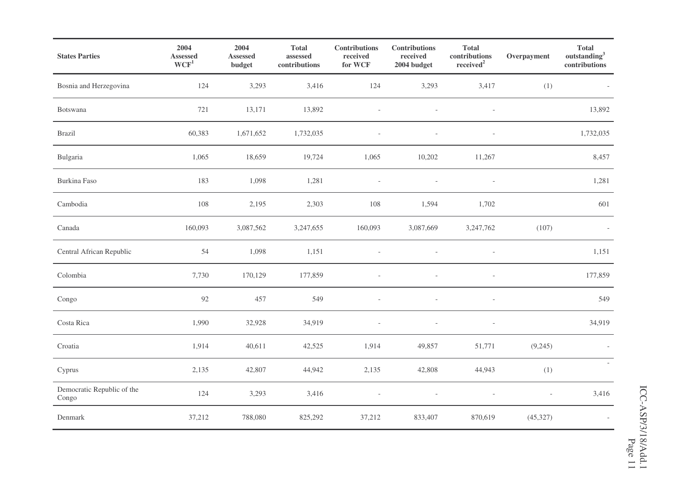| <b>States Parties</b>               | 2004<br>Assessed<br>WCF <sup>1</sup> | 2004<br>Assessed<br>budget | <b>Total</b><br>assessed<br>contributions | <b>Contributions</b><br>received<br>for WCF | <b>Contributions</b><br>received<br>2004 budget | <b>Total</b><br>contributions<br>received <sup>2</sup> | Overpayment    | <b>Total</b><br>outstanding $3$<br>contributions |
|-------------------------------------|--------------------------------------|----------------------------|-------------------------------------------|---------------------------------------------|-------------------------------------------------|--------------------------------------------------------|----------------|--------------------------------------------------|
| Bosnia and Herzegovina              | 124                                  | 3,293                      | 3,416                                     | 124                                         | 3,293                                           | 3,417                                                  | (1)            |                                                  |
| <b>Botswana</b>                     | 721                                  | 13,171                     | 13,892                                    | $\overline{\phantom{a}}$                    |                                                 |                                                        |                | 13,892                                           |
| <b>Brazil</b>                       | 60,383                               | 1,671,652                  | 1,732,035                                 |                                             |                                                 |                                                        |                | 1,732,035                                        |
| Bulgaria                            | 1,065                                | 18,659                     | 19,724                                    | 1,065                                       | 10,202                                          | 11,267                                                 |                | 8,457                                            |
| Burkina Faso                        | 183                                  | 1,098                      | 1,281                                     |                                             |                                                 |                                                        |                | 1,281                                            |
| Cambodia                            | 108                                  | 2,195                      | 2,303                                     | 108                                         | 1,594                                           | 1,702                                                  |                | 601                                              |
| Canada                              | 160,093                              | 3,087,562                  | 3,247,655                                 | 160,093                                     | 3,087,669                                       | 3,247,762                                              | (107)          |                                                  |
| Central African Republic            | 54                                   | 1,098                      | 1,151                                     | $\overline{\phantom{a}}$                    | $\overline{a}$                                  | $\overline{\phantom{a}}$                               |                | 1,151                                            |
| Colombia                            | 7,730                                | 170,129                    | 177,859                                   |                                             |                                                 |                                                        |                | 177,859                                          |
| Congo                               | 92                                   | 457                        | 549                                       |                                             |                                                 |                                                        |                | 549                                              |
| Costa Rica                          | 1,990                                | 32,928                     | 34,919                                    |                                             |                                                 | $\overline{\phantom{a}}$                               |                | 34,919                                           |
| Croatia                             | 1,914                                | 40,611                     | 42,525                                    | 1,914                                       | 49,857                                          | 51,771                                                 | (9,245)        |                                                  |
| Cyprus                              | 2,135                                | 42,807                     | 44,942                                    | 2,135                                       | 42,808                                          | 44,943                                                 | (1)            |                                                  |
| Democratic Republic of the<br>Congo | 124                                  | 3,293                      | 3,416                                     |                                             |                                                 |                                                        | $\overline{a}$ | 3,416                                            |
| Denmark                             | 37,212                               | 788,080                    | 825,292                                   | 37,212                                      | 833,407                                         | 870,619                                                | (45, 327)      |                                                  |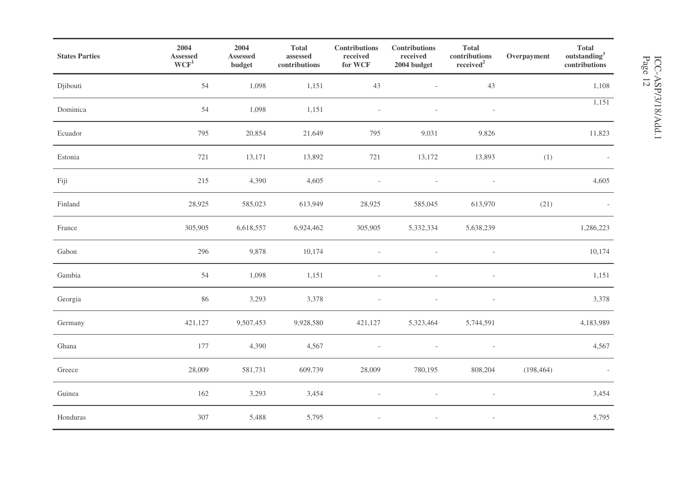| <b>States Parties</b> | 2004<br>Assessed<br>$\mathbf{W}\mathbf{C}\mathbf{F}^1$ | 2004<br>Assessed<br>budget | <b>Total</b><br>assessed<br>contributions | <b>Contributions</b><br>received<br>for WCF | <b>Contributions</b><br>received<br>2004 budget | <b>Total</b><br>contributions<br>received <sup>2</sup> | Overpayment | <b>Total</b><br>outstanding <sup>3</sup><br>contributions |
|-----------------------|--------------------------------------------------------|----------------------------|-------------------------------------------|---------------------------------------------|-------------------------------------------------|--------------------------------------------------------|-------------|-----------------------------------------------------------|
| Djibouti              | 54                                                     | 1,098                      | 1,151                                     | 43                                          | $\bar{a}$                                       | 43                                                     |             | 1,108                                                     |
| Dominica              | 54                                                     | 1,098                      | 1,151                                     |                                             |                                                 | $\overline{a}$                                         |             | 1,151                                                     |
| Ecuador               | 795                                                    | 20,854                     | 21,649                                    | 795                                         | 9,031                                           | 9,826                                                  |             | 11,823                                                    |
| Estonia               | 721                                                    | 13,171                     | 13,892                                    | 721                                         | 13,172                                          | 13,893                                                 | (1)         |                                                           |
| Fiji                  | 215                                                    | 4,390                      | 4,605                                     | $\overline{\phantom{a}}$                    |                                                 | $\overline{a}$                                         |             | 4,605                                                     |
| Finland               | 28,925                                                 | 585,023                    | 613,949                                   | 28,925                                      | 585,045                                         | 613,970                                                | (21)        |                                                           |
| France                | 305,905                                                | 6,618,557                  | 6,924,462                                 | 305,905                                     | 5,332,334                                       | 5,638,239                                              |             | 1,286,223                                                 |
| Gabon                 | 296                                                    | 9,878                      | 10,174                                    | $\overline{a}$                              | $\overline{a}$                                  | $\overline{a}$                                         |             | 10,174                                                    |
| Gambia                | 54                                                     | 1,098                      | 1,151                                     |                                             |                                                 | $\overline{a}$                                         |             | 1,151                                                     |
| Georgia               | $86\,$                                                 | 3,293                      | 3,378                                     |                                             | $\overline{\phantom{a}}$                        | $\overline{a}$                                         |             | 3,378                                                     |
| Germany               | 421,127                                                | 9,507,453                  | 9,928,580                                 | 421,127                                     | 5,323,464                                       | 5,744,591                                              |             | 4,183,989                                                 |
| Ghana                 | 177                                                    | 4,390                      | 4,567                                     |                                             |                                                 | $\overline{a}$                                         |             | 4,567                                                     |
| Greece                | 28,009                                                 | 581,731                    | 609,739                                   | 28,009                                      | 780,195                                         | 808,204                                                | (198, 464)  |                                                           |
| Guinea                | 162                                                    | 3,293                      | 3,454                                     |                                             |                                                 | $\overline{a}$                                         |             | 3,454                                                     |
| Honduras              | 307                                                    | 5,488                      | 5,795                                     |                                             |                                                 |                                                        |             | 5,795                                                     |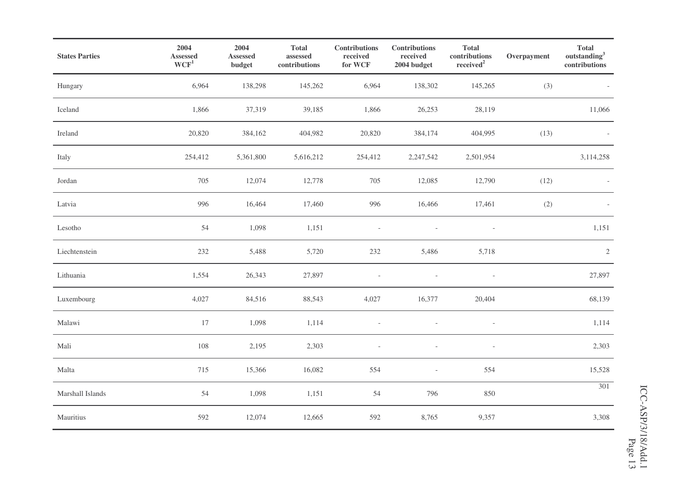| <b>States Parties</b> | 2004<br>Assessed<br>WCF <sup>1</sup> | 2004<br>Assessed<br>budget | <b>Total</b><br>assessed<br>contributions | <b>Contributions</b><br>received<br>for WCF | <b>Contributions</b><br>received<br>$2004$ budget | <b>Total</b><br>contributions<br>received <sup>2</sup> | Overpayment | <b>Total</b><br>outstanding <sup>3</sup><br>contributions |
|-----------------------|--------------------------------------|----------------------------|-------------------------------------------|---------------------------------------------|---------------------------------------------------|--------------------------------------------------------|-------------|-----------------------------------------------------------|
| Hungary               | 6,964                                | 138,298                    | 145,262                                   | 6,964                                       | 138,302                                           | 145,265                                                | (3)         |                                                           |
| Iceland               | 1,866                                | 37,319                     | 39,185                                    | 1,866                                       | 26,253                                            | 28,119                                                 |             | 11,066                                                    |
| Ireland               | 20,820                               | 384,162                    | 404,982                                   | 20,820                                      | 384,174                                           | 404,995                                                | (13)        |                                                           |
| Italy                 | 254,412                              | 5,361,800                  | 5,616,212                                 | 254,412                                     | 2,247,542                                         | 2,501,954                                              |             | 3,114,258                                                 |
| Jordan                | 705                                  | 12,074                     | 12,778                                    | 705                                         | 12,085                                            | 12,790                                                 | (12)        |                                                           |
| Latvia                | 996                                  | 16,464                     | 17,460                                    | 996                                         | 16,466                                            | 17,461                                                 | (2)         |                                                           |
| Lesotho               | 54                                   | 1,098                      | 1,151                                     |                                             |                                                   | $\overline{a}$                                         |             | 1,151                                                     |
| Liechtenstein         | 232                                  | 5,488                      | 5,720                                     | 232                                         | 5,486                                             | 5,718                                                  |             | 2                                                         |
| Lithuania             | 1,554                                | 26,343                     | 27,897                                    | $\overline{a}$                              |                                                   | $\overline{\phantom{a}}$                               |             | 27,897                                                    |
| Luxembourg            | 4,027                                | 84,516                     | 88,543                                    | 4,027                                       | 16,377                                            | 20,404                                                 |             | 68,139                                                    |
| Malawi                | $17\,$                               | 1,098                      | 1,114                                     |                                             |                                                   | $\overline{a}$                                         |             | 1,114                                                     |
| Mali                  | 108                                  | 2,195                      | 2,303                                     | $\overline{a}$                              | L.                                                | $\overline{a}$                                         |             | 2,303                                                     |
| Malta                 | 715                                  | 15,366                     | 16,082                                    | 554                                         |                                                   | 554                                                    |             | 15,528                                                    |
| Marshall Islands      | 54                                   | 1,098                      | 1,151                                     | 54                                          | 796                                               | 850                                                    |             | 301                                                       |
| Mauritius             | 592                                  | 12,074                     | 12,665                                    | 592                                         | 8,765                                             | 9,357                                                  |             | 3,308                                                     |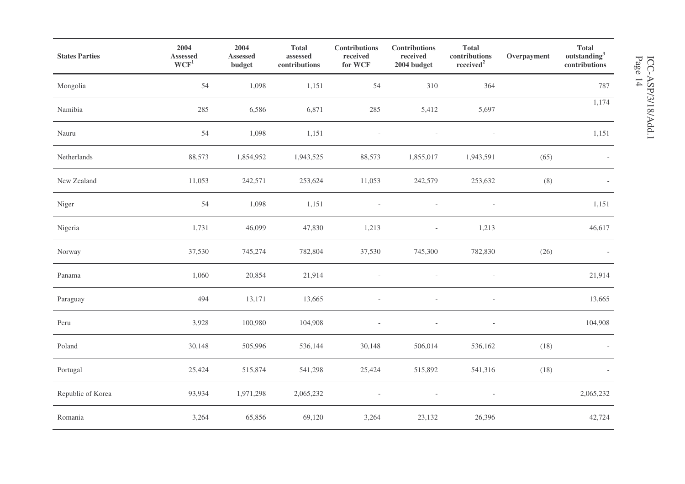| <b>States Parties</b> | 2004<br>Assessed<br>$\mathbf{W}\mathbf{C}\mathbf{F}^1$ | 2004<br><b>Assessed</b><br>budget | <b>Total</b><br>assessed<br>contributions | <b>Contributions</b><br>received<br>for WCF | <b>Contributions</b><br>received<br>2004 budget | <b>Total</b><br>contributions<br>received <sup>2</sup> | Overpayment | <b>Total</b><br>outstanding <sup>3</sup><br>contributions |
|-----------------------|--------------------------------------------------------|-----------------------------------|-------------------------------------------|---------------------------------------------|-------------------------------------------------|--------------------------------------------------------|-------------|-----------------------------------------------------------|
| Mongolia              | 54                                                     | 1,098                             | 1,151                                     | 54                                          | 310                                             | 364                                                    |             | 787                                                       |
| Namibia               | 285                                                    | 6,586                             | 6,871                                     | 285                                         | 5,412                                           | 5,697                                                  |             | 1,174                                                     |
| Nauru                 | 54                                                     | 1,098                             | 1,151                                     | Ĭ.                                          |                                                 | $\overline{\phantom{a}}$                               |             | 1,151                                                     |
| Netherlands           | 88,573                                                 | 1,854,952                         | 1,943,525                                 | 88,573                                      | 1,855,017                                       | 1,943,591                                              | (65)        |                                                           |
| New Zealand           | 11,053                                                 | 242,571                           | 253,624                                   | 11,053                                      | 242,579                                         | 253,632                                                | (8)         |                                                           |
| Niger                 | 54                                                     | 1,098                             | 1,151                                     | $\overline{a}$                              |                                                 | $\overline{\phantom{a}}$                               |             | 1,151                                                     |
| Nigeria               | 1,731                                                  | 46,099                            | 47,830                                    | 1,213                                       | $\overline{\phantom{a}}$                        | 1,213                                                  |             | 46,617                                                    |
| Norway                | 37,530                                                 | 745,274                           | 782,804                                   | 37,530                                      | 745,300                                         | 782,830                                                | (26)        |                                                           |
| Panama                | 1,060                                                  | 20,854                            | 21,914                                    |                                             |                                                 |                                                        |             | 21,914                                                    |
| Paraguay              | 494                                                    | 13,171                            | 13,665                                    |                                             |                                                 |                                                        |             | 13,665                                                    |
| Peru                  | 3,928                                                  | 100,980                           | 104,908                                   | $\overline{\phantom{a}}$                    | $\overline{\phantom{a}}$                        | $\overline{a}$                                         |             | 104,908                                                   |
| Poland                | 30,148                                                 | 505,996                           | 536,144                                   | 30,148                                      | 506,014                                         | 536,162                                                | (18)        |                                                           |
| Portugal              | 25,424                                                 | 515,874                           | 541,298                                   | 25,424                                      | 515,892                                         | 541,316                                                | (18)        |                                                           |
| Republic of Korea     | 93,934                                                 | 1,971,298                         | 2,065,232                                 |                                             |                                                 | $\overline{\phantom{a}}$                               |             | 2,065,232                                                 |
| Romania               | 3,264                                                  | 65,856                            | 69,120                                    | 3,264                                       | 23,132                                          | 26,396                                                 |             | 42,724                                                    |

ICC-ASP/3/18/Add.1 P a g e 1 4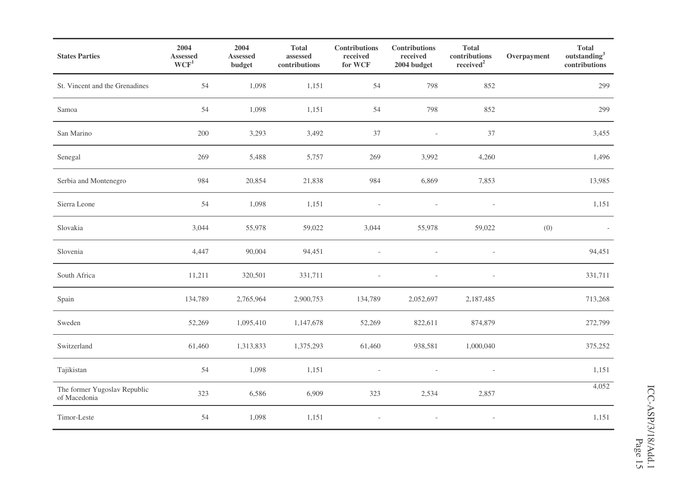| <b>States Parties</b>                        | 2004<br>Assessed<br>$\mathbf{W}\mathbf{C}\mathbf{F}^1$ | 2004<br>Assessed<br>budget | <b>Total</b><br>assessed<br>contributions | <b>Contributions</b><br>received<br>for WCF | <b>Contributions</b><br>received<br>2004 budget | <b>Total</b><br>contributions<br>received <sup>2</sup> | Overpayment | <b>Total</b><br>outstanding <sup>3</sup><br>contributions |
|----------------------------------------------|--------------------------------------------------------|----------------------------|-------------------------------------------|---------------------------------------------|-------------------------------------------------|--------------------------------------------------------|-------------|-----------------------------------------------------------|
| St. Vincent and the Grenadines               | 54                                                     | 1,098                      | 1,151                                     | 54                                          | 798                                             | 852                                                    |             | 299                                                       |
| Samoa                                        | 54                                                     | 1,098                      | 1,151                                     | 54                                          | 798                                             | 852                                                    |             | 299                                                       |
| San Marino                                   | 200                                                    | 3,293                      | 3,492                                     | 37                                          | $\bar{a}$                                       | 37                                                     |             | 3,455                                                     |
| Senegal                                      | 269                                                    | 5,488                      | 5,757                                     | 269                                         | 3,992                                           | 4,260                                                  |             | 1,496                                                     |
| Serbia and Montenegro                        | 984                                                    | 20,854                     | 21,838                                    | 984                                         | 6,869                                           | 7,853                                                  |             | 13,985                                                    |
| Sierra Leone                                 | 54                                                     | 1,098                      | 1,151                                     | $\qquad \qquad \Box$                        |                                                 |                                                        |             | 1,151                                                     |
| Slovakia                                     | 3,044                                                  | 55,978                     | 59,022                                    | 3,044                                       | 55,978                                          | 59,022                                                 | (0)         |                                                           |
| Slovenia                                     | 4,447                                                  | 90,004                     | 94,451                                    |                                             |                                                 | $\overline{a}$                                         |             | 94,451                                                    |
| South Africa                                 | 11,211                                                 | 320,501                    | 331,711                                   |                                             |                                                 |                                                        |             | 331,711                                                   |
| Spain                                        | 134,789                                                | 2,765,964                  | 2,900,753                                 | 134,789                                     | 2,052,697                                       | 2,187,485                                              |             | 713,268                                                   |
| Sweden                                       | 52,269                                                 | 1,095,410                  | 1,147,678                                 | 52,269                                      | 822,611                                         | 874,879                                                |             | 272,799                                                   |
| Switzerland                                  | 61,460                                                 | 1,313,833                  | 1,375,293                                 | 61,460                                      | 938,581                                         | 1,000,040                                              |             | 375,252                                                   |
| Tajikistan                                   | 54                                                     | 1,098                      | 1,151                                     |                                             |                                                 |                                                        |             | 1,151                                                     |
| The former Yugoslav Republic<br>of Macedonia | 323                                                    | 6,586                      | 6,909                                     | 323                                         | 2,534                                           | 2,857                                                  |             | 4,052                                                     |
| Timor-Leste                                  | 54                                                     | 1,098                      | 1,151                                     |                                             |                                                 |                                                        |             | 1,151                                                     |